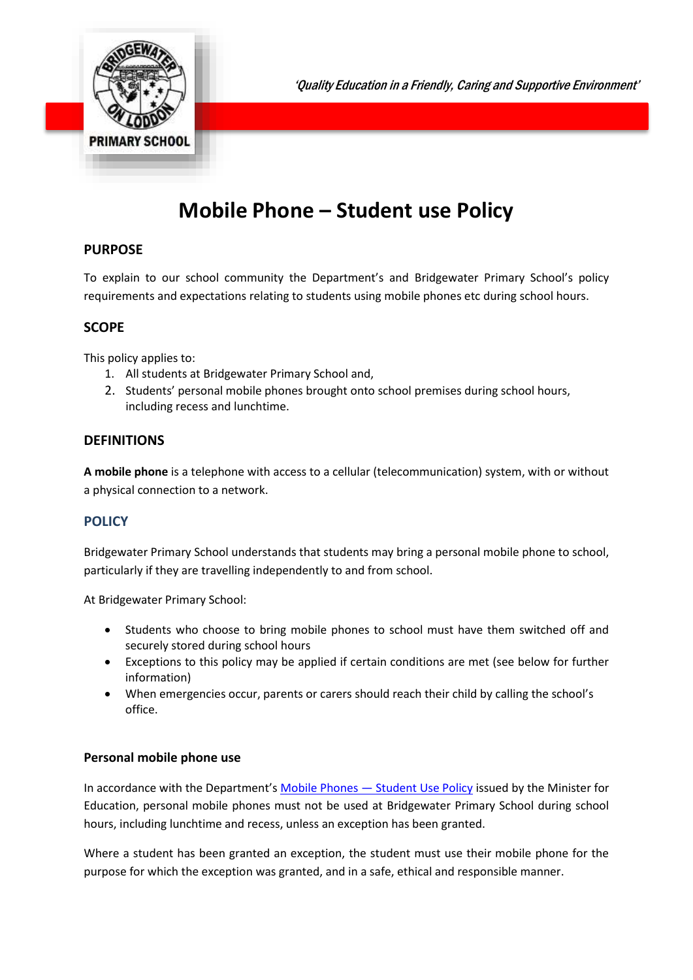

'Quality Education in a Friendly, Caring and Supportive Environment'

# **Mobile Phone – Student use Policy**

# **PURPOSE**

To explain to our school community the Department's and Bridgewater Primary School's policy requirements and expectations relating to students using mobile phones etc during school hours.

# **SCOPE**

This policy applies to:

- 1. All students at Bridgewater Primary School and,
- 2. Students' personal mobile phones brought onto school premises during school hours, including recess and lunchtime.

# **DEFINITIONS**

**A mobile phone** is a telephone with access to a cellular (telecommunication) system, with or without a physical connection to a network.

## **POLICY**

Bridgewater Primary School understands that students may bring a personal mobile phone to school, particularly if they are travelling independently to and from school.

At Bridgewater Primary School:

- Students who choose to bring mobile phones to school must have them switched off and securely stored during school hours
- Exceptions to this policy may be applied if certain conditions are met (see below for further information)
- When emergencies occur, parents or carers should reach their child by calling the school's office.

#### **Personal mobile phone use**

In accordance with the Department's Mobile Phones — [Student Use Policy](https://www2.education.vic.gov.au/pal/students-using-mobile-phones/policy) issued by the Minister for Education, personal mobile phones must not be used at Bridgewater Primary School during school hours, including lunchtime and recess, unless an exception has been granted.

Where a student has been granted an exception, the student must use their mobile phone for the purpose for which the exception was granted, and in a safe, ethical and responsible manner.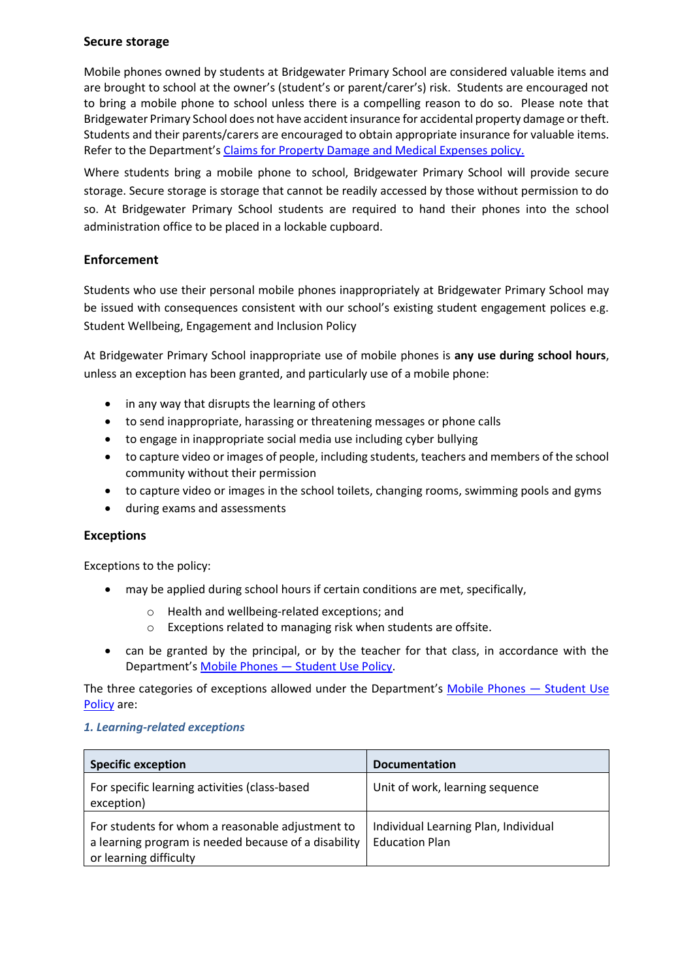#### **Secure storage**

Mobile phones owned by students at Bridgewater Primary School are considered valuable items and are brought to school at the owner's (student's or parent/carer's) risk. Students are encouraged not to bring a mobile phone to school unless there is a compelling reason to do so. Please note that Bridgewater Primary School does not have accident insurance for accidental property damage or theft. Students and their parents/carers are encouraged to obtain appropriate insurance for valuable items. Refer to the Department's [Claims for Property Damage and Medical Expenses](https://www2.education.vic.gov.au/pal/claims-property-damage-and-medical-expenses/policy) policy.

Where students bring a mobile phone to school, Bridgewater Primary School will provide secure storage. Secure storage is storage that cannot be readily accessed by those without permission to do so. At Bridgewater Primary School students are required to hand their phones into the school administration office to be placed in a lockable cupboard.

## **Enforcement**

Students who use their personal mobile phones inappropriately at Bridgewater Primary School may be issued with consequences consistent with our school's existing student engagement polices e.g. Student Wellbeing, Engagement and Inclusion Policy

At Bridgewater Primary School inappropriate use of mobile phones is **any use during school hours**, unless an exception has been granted, and particularly use of a mobile phone:

- in any way that disrupts the learning of others
- to send inappropriate, harassing or threatening messages or phone calls
- to engage in inappropriate social media use including cyber bullying
- to capture video or images of people, including students, teachers and members of the school community without their permission
- to capture video or images in the school toilets, changing rooms, swimming pools and gyms
- during exams and assessments

#### **Exceptions**

Exceptions to the policy:

- may be applied during school hours if certain conditions are met, specifically,
	- o Health and wellbeing-related exceptions; and
	- o Exceptions related to managing risk when students are offsite.
- can be granted by the principal, or by the teacher for that class, in accordance with the Department's Mobile Phones — [Student Use Policy.](https://www2.education.vic.gov.au/pal/students-using-mobile-phones/policy)

The three categories of exceptions allowed under the Department's [Mobile Phones](https://www2.education.vic.gov.au/pal/students-using-mobile-phones/policy) — Student Use [Policy](https://www2.education.vic.gov.au/pal/students-using-mobile-phones/policy) are:

#### *1. Learning-related exceptions*

| <b>Specific exception</b>                                                                                                          | <b>Documentation</b>                                          |
|------------------------------------------------------------------------------------------------------------------------------------|---------------------------------------------------------------|
| For specific learning activities (class-based<br>exception)                                                                        | Unit of work, learning sequence                               |
| For students for whom a reasonable adjustment to<br>a learning program is needed because of a disability<br>or learning difficulty | Individual Learning Plan, Individual<br><b>Education Plan</b> |